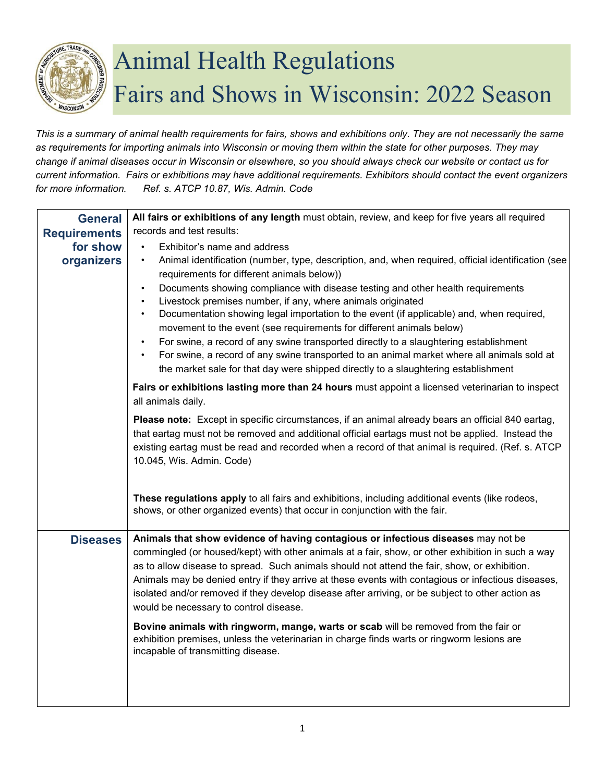

## Animal Health Regulations Fairs and Shows in Wisconsin: 2022 Season

*This is a summary of animal health requirements for fairs, shows and exhibitions only. They are not necessarily the same as requirements for importing animals into Wisconsin or moving them within the state for other purposes. They may change if animal diseases occur in Wisconsin or elsewhere, so you should always check our website or contact us for current information. Fairs or exhibitions may have additional requirements. Exhibitors should contact the event organizers for more information. Ref. s. ATCP 10.87, Wis. Admin. Code* 

| <b>General</b>         | All fairs or exhibitions of any length must obtain, review, and keep for five years all required                                                                                                                                                                                                                                                                                                                                                                                                                                                                                                                                                                                                                                                                                         |
|------------------------|------------------------------------------------------------------------------------------------------------------------------------------------------------------------------------------------------------------------------------------------------------------------------------------------------------------------------------------------------------------------------------------------------------------------------------------------------------------------------------------------------------------------------------------------------------------------------------------------------------------------------------------------------------------------------------------------------------------------------------------------------------------------------------------|
| <b>Requirements</b>    | records and test results:                                                                                                                                                                                                                                                                                                                                                                                                                                                                                                                                                                                                                                                                                                                                                                |
| for show<br>organizers | Exhibitor's name and address<br>Animal identification (number, type, description, and, when required, official identification (see<br>٠<br>requirements for different animals below))<br>Documents showing compliance with disease testing and other health requirements<br>Livestock premises number, if any, where animals originated<br>Documentation showing legal importation to the event (if applicable) and, when required,<br>movement to the event (see requirements for different animals below)<br>For swine, a record of any swine transported directly to a slaughtering establishment<br>For swine, a record of any swine transported to an animal market where all animals sold at<br>the market sale for that day were shipped directly to a slaughtering establishment |
|                        | Fairs or exhibitions lasting more than 24 hours must appoint a licensed veterinarian to inspect<br>all animals daily.                                                                                                                                                                                                                                                                                                                                                                                                                                                                                                                                                                                                                                                                    |
|                        | Please note: Except in specific circumstances, if an animal already bears an official 840 eartag,<br>that eartag must not be removed and additional official eartags must not be applied. Instead the<br>existing eartag must be read and recorded when a record of that animal is required. (Ref. s. ATCP<br>10.045, Wis. Admin. Code)<br>These regulations apply to all fairs and exhibitions, including additional events (like rodeos,<br>shows, or other organized events) that occur in conjunction with the fair.                                                                                                                                                                                                                                                                 |
|                        |                                                                                                                                                                                                                                                                                                                                                                                                                                                                                                                                                                                                                                                                                                                                                                                          |
| <b>Diseases</b>        | Animals that show evidence of having contagious or infectious diseases may not be<br>commingled (or housed/kept) with other animals at a fair, show, or other exhibition in such a way<br>as to allow disease to spread. Such animals should not attend the fair, show, or exhibition.<br>Animals may be denied entry if they arrive at these events with contagious or infectious diseases,<br>isolated and/or removed if they develop disease after arriving, or be subject to other action as<br>would be necessary to control disease.                                                                                                                                                                                                                                               |
|                        | Bovine animals with ringworm, mange, warts or scab will be removed from the fair or<br>exhibition premises, unless the veterinarian in charge finds warts or ringworm lesions are<br>incapable of transmitting disease.                                                                                                                                                                                                                                                                                                                                                                                                                                                                                                                                                                  |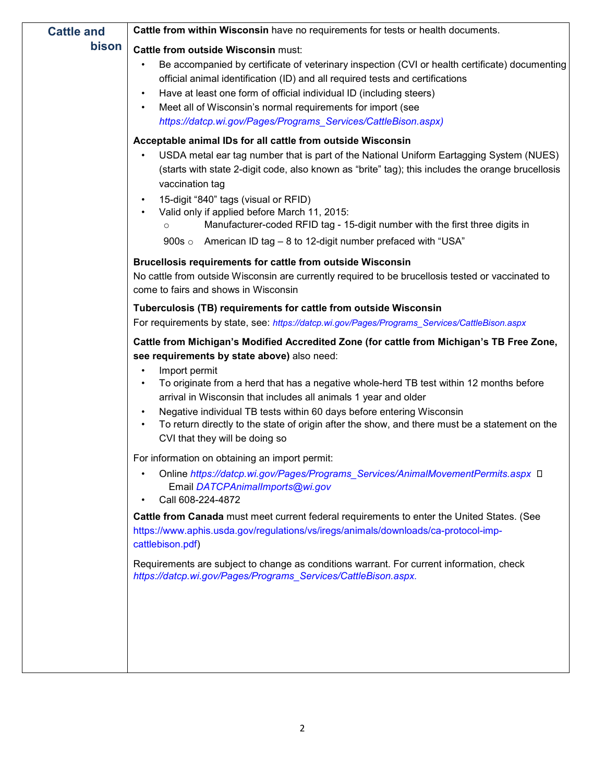| <b>Cattle and</b> | <b>Cattle from within Wisconsin</b> have no requirements for tests or health documents.                                                                                                                                                                                                                                                                                                                                                                                                                                                         |
|-------------------|-------------------------------------------------------------------------------------------------------------------------------------------------------------------------------------------------------------------------------------------------------------------------------------------------------------------------------------------------------------------------------------------------------------------------------------------------------------------------------------------------------------------------------------------------|
| bison             | Cattle from outside Wisconsin must:                                                                                                                                                                                                                                                                                                                                                                                                                                                                                                             |
|                   | Be accompanied by certificate of veterinary inspection (CVI or health certificate) documenting<br>official animal identification (ID) and all required tests and certifications<br>Have at least one form of official individual ID (including steers)<br>٠<br>Meet all of Wisconsin's normal requirements for import (see<br>https://datcp.wi.gov/Pages/Programs_Services/CattleBison.aspx)                                                                                                                                                    |
|                   | Acceptable animal IDs for all cattle from outside Wisconsin<br>USDA metal ear tag number that is part of the National Uniform Eartagging System (NUES)<br>(starts with state 2-digit code, also known as "brite" tag); this includes the orange brucellosis<br>vaccination tag<br>15-digit "840" tags (visual or RFID)<br>Valid only if applied before March 11, 2015:<br>Manufacturer-coded RFID tag - 15-digit number with the first three digits in<br>$\circ$<br>900s $\circ$<br>American ID tag – 8 to 12-digit number prefaced with "USA" |
|                   | Brucellosis requirements for cattle from outside Wisconsin<br>No cattle from outside Wisconsin are currently required to be brucellosis tested or vaccinated to<br>come to fairs and shows in Wisconsin                                                                                                                                                                                                                                                                                                                                         |
|                   | Tuberculosis (TB) requirements for cattle from outside Wisconsin                                                                                                                                                                                                                                                                                                                                                                                                                                                                                |
|                   | For requirements by state, see: https://datcp.wi.gov/Pages/Programs_Services/CattleBison.aspx                                                                                                                                                                                                                                                                                                                                                                                                                                                   |
|                   | Cattle from Michigan's Modified Accredited Zone (for cattle from Michigan's TB Free Zone,<br>see requirements by state above) also need:<br>Import permit<br>To originate from a herd that has a negative whole-herd TB test within 12 months before<br>arrival in Wisconsin that includes all animals 1 year and older<br>Negative individual TB tests within 60 days before entering Wisconsin<br>To return directly to the state of origin after the show, and there must be a statement on the<br>CVI that they will be doing so            |
|                   | For information on obtaining an import permit:<br>Online https://datcp.wi.gov/Pages/Programs_Services/AnimalMovementPermits.aspx □<br>Email DATCPAnimalImports@wi.gov<br>Call 608-224-4872                                                                                                                                                                                                                                                                                                                                                      |
|                   | Cattle from Canada must meet current federal requirements to enter the United States. (See<br>https://www.aphis.usda.gov/regulations/vs/iregs/animals/downloads/ca-protocol-imp-<br>cattlebison.pdf)                                                                                                                                                                                                                                                                                                                                            |
|                   | Requirements are subject to change as conditions warrant. For current information, check<br>https://datcp.wi.gov/Pages/Programs_Services/CattleBison.aspx.                                                                                                                                                                                                                                                                                                                                                                                      |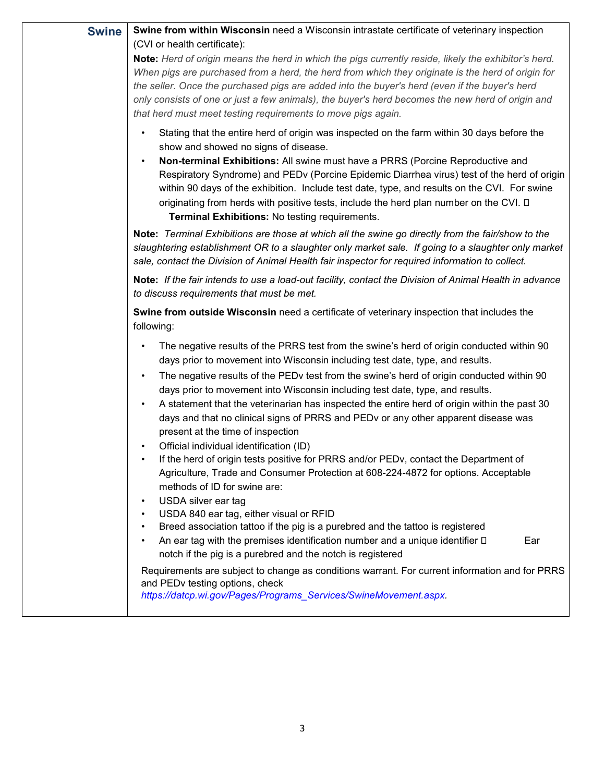| Swine from within Wisconsin need a Wisconsin intrastate certificate of veterinary inspection<br>(CVI or health certificate):                                                                                                                                                                                                                                                                                                                                                                                                                                                                                                                                                                                                                                                                                                                                                     |
|----------------------------------------------------------------------------------------------------------------------------------------------------------------------------------------------------------------------------------------------------------------------------------------------------------------------------------------------------------------------------------------------------------------------------------------------------------------------------------------------------------------------------------------------------------------------------------------------------------------------------------------------------------------------------------------------------------------------------------------------------------------------------------------------------------------------------------------------------------------------------------|
| Note: Herd of origin means the herd in which the pigs currently reside, likely the exhibitor's herd.<br>When pigs are purchased from a herd, the herd from which they originate is the herd of origin for<br>the seller. Once the purchased pigs are added into the buyer's herd (even if the buyer's herd<br>only consists of one or just a few animals), the buyer's herd becomes the new herd of origin and<br>that herd must meet testing requirements to move pigs again.                                                                                                                                                                                                                                                                                                                                                                                                   |
| Stating that the entire herd of origin was inspected on the farm within 30 days before the<br>show and showed no signs of disease.<br>Non-terminal Exhibitions: All swine must have a PRRS (Porcine Reproductive and<br>Respiratory Syndrome) and PEDv (Porcine Epidemic Diarrhea virus) test of the herd of origin<br>within 90 days of the exhibition. Include test date, type, and results on the CVI. For swine<br>originating from herds with positive tests, include the herd plan number on the CVI. □<br>Terminal Exhibitions: No testing requirements.<br>Note: Terminal Exhibitions are those at which all the swine go directly from the fair/show to the<br>slaughtering establishment OR to a slaughter only market sale. If going to a slaughter only market                                                                                                       |
| sale, contact the Division of Animal Health fair inspector for required information to collect.<br>Note: If the fair intends to use a load-out facility, contact the Division of Animal Health in advance<br>to discuss requirements that must be met.                                                                                                                                                                                                                                                                                                                                                                                                                                                                                                                                                                                                                           |
| Swine from outside Wisconsin need a certificate of veterinary inspection that includes the<br>following:                                                                                                                                                                                                                                                                                                                                                                                                                                                                                                                                                                                                                                                                                                                                                                         |
| The negative results of the PRRS test from the swine's herd of origin conducted within 90<br>days prior to movement into Wisconsin including test date, type, and results.<br>The negative results of the PEDv test from the swine's herd of origin conducted within 90<br>$\bullet$<br>days prior to movement into Wisconsin including test date, type, and results.<br>A statement that the veterinarian has inspected the entire herd of origin within the past 30<br>days and that no clinical signs of PRRS and PEDv or any other apparent disease was<br>present at the time of inspection<br>Official individual identification (ID)<br>If the herd of origin tests positive for PRRS and/or PEDv, contact the Department of<br>Agriculture, Trade and Consumer Protection at 608-224-4872 for options. Acceptable<br>methods of ID for swine are:<br>USDA silver ear tag |
| USDA 840 ear tag, either visual or RFID<br>Breed association tattoo if the pig is a purebred and the tattoo is registered<br>An ear tag with the premises identification number and a unique identifier $\square$<br>Ear<br>notch if the pig is a purebred and the notch is registered<br>Requirements are subject to change as conditions warrant. For current information and for PRRS<br>and PEDv testing options, check<br>https://datcp.wi.gov/Pages/Programs_Services/SwineMovement.aspx.                                                                                                                                                                                                                                                                                                                                                                                  |
|                                                                                                                                                                                                                                                                                                                                                                                                                                                                                                                                                                                                                                                                                                                                                                                                                                                                                  |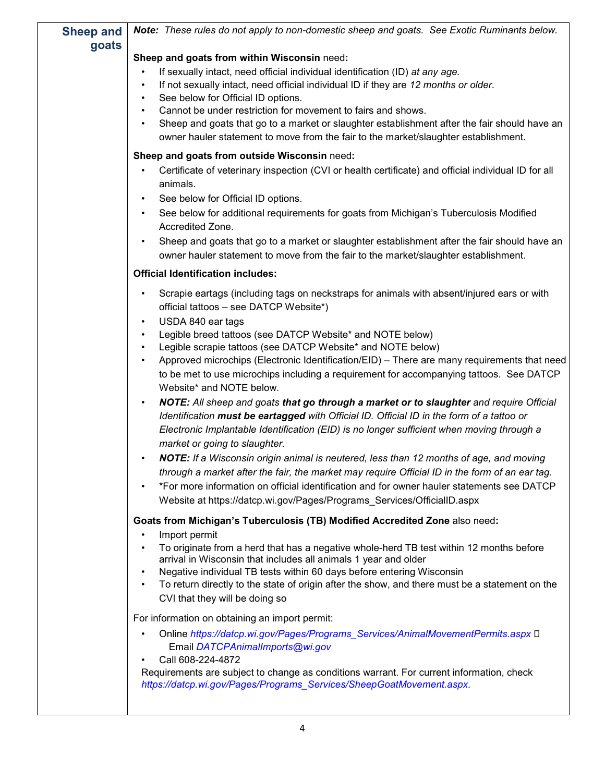| <b>Sheep and</b><br>goats | Note: These rules do not apply to non-domestic sheep and goats. See Exotic Ruminants below.                                                                                                                                                                                                                                                                                                                                                                                                                                                                                                                                                                                                                                                                                                                                                                                                                     |
|---------------------------|-----------------------------------------------------------------------------------------------------------------------------------------------------------------------------------------------------------------------------------------------------------------------------------------------------------------------------------------------------------------------------------------------------------------------------------------------------------------------------------------------------------------------------------------------------------------------------------------------------------------------------------------------------------------------------------------------------------------------------------------------------------------------------------------------------------------------------------------------------------------------------------------------------------------|
|                           | Sheep and goats from within Wisconsin need:                                                                                                                                                                                                                                                                                                                                                                                                                                                                                                                                                                                                                                                                                                                                                                                                                                                                     |
|                           | If sexually intact, need official individual identification (ID) at any age.<br>If not sexually intact, need official individual ID if they are 12 months or older.<br>$\bullet$<br>See below for Official ID options.<br>$\bullet$<br>Cannot be under restriction for movement to fairs and shows.<br>$\bullet$<br>Sheep and goats that go to a market or slaughter establishment after the fair should have an<br>$\bullet$<br>owner hauler statement to move from the fair to the market/slaughter establishment.                                                                                                                                                                                                                                                                                                                                                                                            |
|                           | Sheep and goats from outside Wisconsin need:                                                                                                                                                                                                                                                                                                                                                                                                                                                                                                                                                                                                                                                                                                                                                                                                                                                                    |
|                           | Certificate of veterinary inspection (CVI or health certificate) and official individual ID for all<br>$\bullet$<br>animals.<br>See below for Official ID options.<br>$\bullet$<br>See below for additional requirements for goats from Michigan's Tuberculosis Modified<br>Accredited Zone.                                                                                                                                                                                                                                                                                                                                                                                                                                                                                                                                                                                                                    |
|                           | Sheep and goats that go to a market or slaughter establishment after the fair should have an<br>$\bullet$<br>owner hauler statement to move from the fair to the market/slaughter establishment.                                                                                                                                                                                                                                                                                                                                                                                                                                                                                                                                                                                                                                                                                                                |
|                           | <b>Official Identification includes:</b>                                                                                                                                                                                                                                                                                                                                                                                                                                                                                                                                                                                                                                                                                                                                                                                                                                                                        |
|                           | Scrapie eartags (including tags on neckstraps for animals with absent/injured ears or with<br>$\bullet$<br>official tattoos - see DATCP Website*)<br>USDA 840 ear tags<br>$\bullet$<br>Legible breed tattoos (see DATCP Website* and NOTE below)<br>$\bullet$<br>Legible scrapie tattoos (see DATCP Website* and NOTE below)<br>$\bullet$<br>Approved microchips (Electronic Identification/EID) - There are many requirements that need<br>$\bullet$<br>to be met to use microchips including a requirement for accompanying tattoos. See DATCP<br>Website* and NOTE below.<br>NOTE: All sheep and goats that go through a market or to slaughter and require Official<br>$\bullet$<br>Identification must be eartagged with Official ID. Official ID in the form of a tattoo or<br>Electronic Implantable Identification (EID) is no longer sufficient when moving through a<br>market or going to slaughter. |
|                           | NOTE: If a Wisconsin origin animal is neutered, less than 12 months of age, and moving<br>through a market after the fair, the market may require Official ID in the form of an ear tag.<br>*For more information on official identification and for owner hauler statements see DATCP<br>Website at https://datcp.wi.gov/Pages/Programs_Services/OfficialID.aspx                                                                                                                                                                                                                                                                                                                                                                                                                                                                                                                                               |
|                           | Goats from Michigan's Tuberculosis (TB) Modified Accredited Zone also need:<br>Import permit<br>To originate from a herd that has a negative whole-herd TB test within 12 months before<br>arrival in Wisconsin that includes all animals 1 year and older<br>Negative individual TB tests within 60 days before entering Wisconsin<br>$\bullet$<br>To return directly to the state of origin after the show, and there must be a statement on the<br>$\bullet$<br>CVI that they will be doing so<br>For information on obtaining an import permit:<br>Online https://datcp.wi.gov/Pages/Programs_Services/AnimalMovementPermits.aspx D<br>Email DATCPAnimalImports@wi.gov<br>Call 608-224-4872                                                                                                                                                                                                                 |
|                           | Requirements are subject to change as conditions warrant. For current information, check<br>https://datcp.wi.gov/Pages/Programs_Services/SheepGoatMovement.aspx.                                                                                                                                                                                                                                                                                                                                                                                                                                                                                                                                                                                                                                                                                                                                                |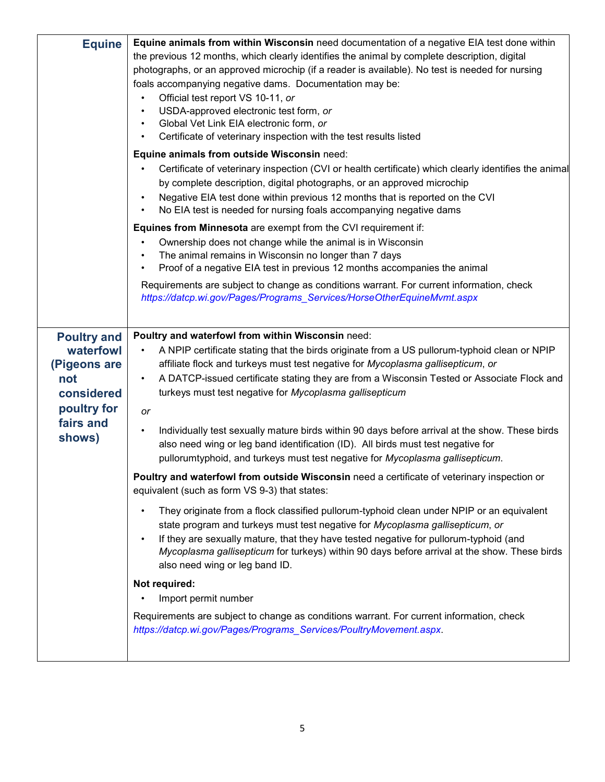| <b>Equine</b>      | Equine animals from within Wisconsin need documentation of a negative EIA test done within                  |
|--------------------|-------------------------------------------------------------------------------------------------------------|
|                    | the previous 12 months, which clearly identifies the animal by complete description, digital                |
|                    | photographs, or an approved microchip (if a reader is available). No test is needed for nursing             |
|                    | foals accompanying negative dams. Documentation may be:                                                     |
|                    | Official test report VS 10-11, or<br>$\bullet$                                                              |
|                    | USDA-approved electronic test form, or<br>$\bullet$                                                         |
|                    | Global Vet Link EIA electronic form, or<br>$\bullet$                                                        |
|                    | Certificate of veterinary inspection with the test results listed                                           |
|                    | Equine animals from outside Wisconsin need:                                                                 |
|                    | Certificate of veterinary inspection (CVI or health certificate) which clearly identifies the animal        |
|                    | by complete description, digital photographs, or an approved microchip                                      |
|                    | Negative EIA test done within previous 12 months that is reported on the CVI<br>$\bullet$                   |
|                    | No EIA test is needed for nursing foals accompanying negative dams<br>$\bullet$                             |
|                    | <b>Equines from Minnesota</b> are exempt from the CVI requirement if:                                       |
|                    | Ownership does not change while the animal is in Wisconsin<br>$\bullet$                                     |
|                    | The animal remains in Wisconsin no longer than 7 days                                                       |
|                    | Proof of a negative EIA test in previous 12 months accompanies the animal                                   |
|                    | Requirements are subject to change as conditions warrant. For current information, check                    |
|                    | https://datcp.wi.gov/Pages/Programs_Services/HorseOtherEquineMvmt.aspx                                      |
|                    |                                                                                                             |
| <b>Poultry and</b> | Poultry and waterfowl from within Wisconsin need:                                                           |
| waterfowl          | A NPIP certificate stating that the birds originate from a US pullorum-typhoid clean or NPIP                |
| (Pigeons are       | affiliate flock and turkeys must test negative for Mycoplasma gallisepticum, or                             |
| not                | A DATCP-issued certificate stating they are from a Wisconsin Tested or Associate Flock and<br>$\bullet$     |
| considered         | turkeys must test negative for Mycoplasma gallisepticum                                                     |
| poultry for        | or                                                                                                          |
| fairs and          |                                                                                                             |
| shows)             | Individually test sexually mature birds within 90 days before arrival at the show. These birds<br>$\bullet$ |
|                    | also need wing or leg band identification (ID). All birds must test negative for                            |
|                    | pullorumtyphoid, and turkeys must test negative for Mycoplasma gallisepticum.                               |
|                    | Poultry and waterfowl from outside Wisconsin need a certificate of veterinary inspection or                 |
|                    | equivalent (such as form VS 9-3) that states:                                                               |
|                    | They originate from a flock classified pullorum-typhoid clean under NPIP or an equivalent<br>$\bullet$      |
|                    | state program and turkeys must test negative for Mycoplasma gallisepticum, or                               |
|                    | If they are sexually mature, that they have tested negative for pullorum-typhoid (and<br>$\bullet$          |
|                    | Mycoplasma gallisepticum for turkeys) within 90 days before arrival at the show. These birds                |
|                    | also need wing or leg band ID.                                                                              |
|                    | Not required:                                                                                               |
|                    | Import permit number                                                                                        |
|                    | Requirements are subject to change as conditions warrant. For current information, check                    |
|                    | https://datcp.wi.gov/Pages/Programs_Services/PoultryMovement.aspx.                                          |
|                    |                                                                                                             |
|                    |                                                                                                             |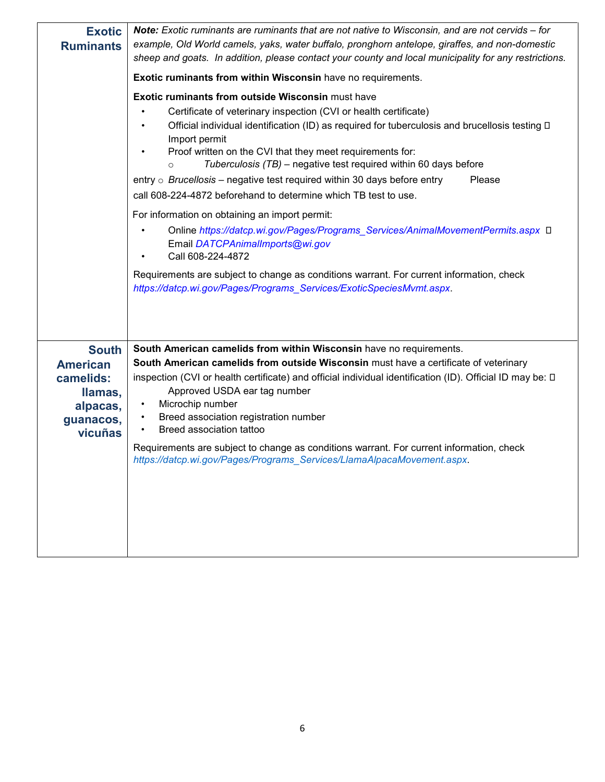| <b>Exotic</b><br><b>Ruminants</b>                                                           | Note: Exotic ruminants are ruminants that are not native to Wisconsin, and are not cervids – for<br>example, Old World camels, yaks, water buffalo, pronghorn antelope, giraffes, and non-domestic<br>sheep and goats. In addition, please contact your county and local municipality for any restrictions.                                                                                                                                                                                                                                                                                                                                                                                                                                                                                                                                                                                                                          |
|---------------------------------------------------------------------------------------------|--------------------------------------------------------------------------------------------------------------------------------------------------------------------------------------------------------------------------------------------------------------------------------------------------------------------------------------------------------------------------------------------------------------------------------------------------------------------------------------------------------------------------------------------------------------------------------------------------------------------------------------------------------------------------------------------------------------------------------------------------------------------------------------------------------------------------------------------------------------------------------------------------------------------------------------|
|                                                                                             | <b>Exotic ruminants from within Wisconsin have no requirements.</b>                                                                                                                                                                                                                                                                                                                                                                                                                                                                                                                                                                                                                                                                                                                                                                                                                                                                  |
|                                                                                             | <b>Exotic ruminants from outside Wisconsin must have</b><br>Certificate of veterinary inspection (CVI or health certificate)<br>Official individual identification (ID) as required for tuberculosis and brucellosis testing D<br>Import permit<br>Proof written on the CVI that they meet requirements for:<br>Tuberculosis (TB) – negative test required within 60 days before<br>$\Omega$<br>Please<br>entry $\circ$ <i>Brucellosis</i> – negative test required within 30 days before entry<br>call 608-224-4872 beforehand to determine which TB test to use.<br>For information on obtaining an import permit:<br>Online https://datcp.wi.gov/Pages/Programs_Services/AnimalMovementPermits.aspx □<br>Email DATCPAnimalImports@wi.gov<br>Call 608-224-4872<br>Requirements are subject to change as conditions warrant. For current information, check<br>https://datcp.wi.gov/Pages/Programs Services/ExoticSpeciesMvmt.aspx. |
| <b>South</b><br><b>American</b><br>camelids:<br>llamas,<br>alpacas,<br>guanacos,<br>vicuñas | South American camelids from within Wisconsin have no requirements.<br>South American camelids from outside Wisconsin must have a certificate of veterinary<br>inspection (CVI or health certificate) and official individual identification (ID). Official ID may be: 0<br>Approved USDA ear tag number<br>Microchip number<br>$\bullet$<br>Breed association registration number<br>Breed association tattoo<br>Requirements are subject to change as conditions warrant. For current information, check<br>https://datcp.wi.gov/Pages/Programs_Services/LlamaAlpacaMovement.aspx.                                                                                                                                                                                                                                                                                                                                                 |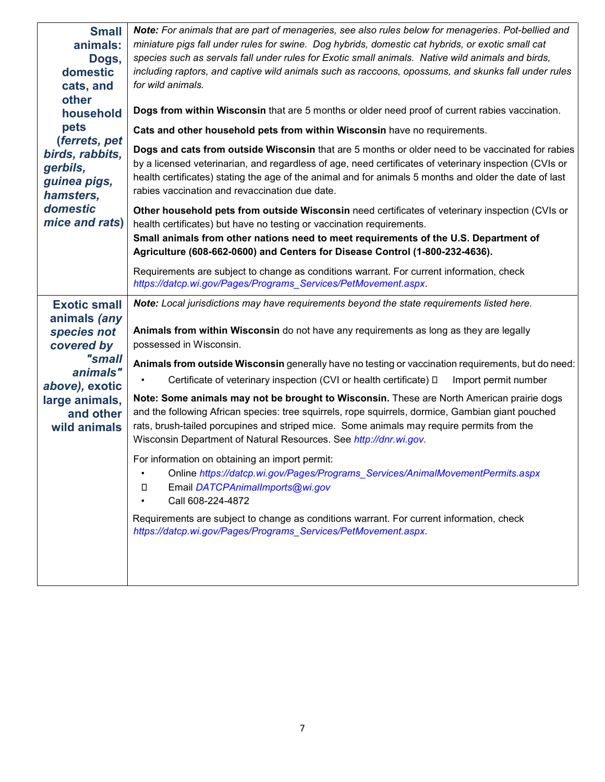| <b>Small</b><br>animals:<br>Dogs,<br>domestic<br>cats, and<br>other<br>household<br>pets<br>(ferrets, pet<br>birds, rabbits,<br>gerbils,<br>guinea pigs,<br>hamsters,<br>domestic<br>mice and rats) | Note: For animals that are part of menageries, see also rules below for menageries. Pot-bellied and<br>miniature pigs fall under rules for swine. Dog hybrids, domestic cat hybrids, or exotic small cat<br>species such as servals fall under rules for Exotic small animals. Native wild animals and birds,<br>including raptors, and captive wild animals such as raccoons, opossums, and skunks fall under rules<br>for wild animals.<br>Dogs from within Wisconsin that are 5 months or older need proof of current rabies vaccination.<br>Cats and other household pets from within Wisconsin have no requirements.<br>Dogs and cats from outside Wisconsin that are 5 months or older need to be vaccinated for rabies<br>by a licensed veterinarian, and regardless of age, need certificates of veterinary inspection (CVIs or<br>health certificates) stating the age of the animal and for animals 5 months and older the date of last<br>rabies vaccination and revaccination due date.<br>Other household pets from outside Wisconsin need certificates of veterinary inspection (CVIs or<br>health certificates) but have no testing or vaccination requirements.<br>Small animals from other nations need to meet requirements of the U.S. Department of<br>Agriculture (608-662-0600) and Centers for Disease Control (1-800-232-4636). |
|-----------------------------------------------------------------------------------------------------------------------------------------------------------------------------------------------------|---------------------------------------------------------------------------------------------------------------------------------------------------------------------------------------------------------------------------------------------------------------------------------------------------------------------------------------------------------------------------------------------------------------------------------------------------------------------------------------------------------------------------------------------------------------------------------------------------------------------------------------------------------------------------------------------------------------------------------------------------------------------------------------------------------------------------------------------------------------------------------------------------------------------------------------------------------------------------------------------------------------------------------------------------------------------------------------------------------------------------------------------------------------------------------------------------------------------------------------------------------------------------------------------------------------------------------------------------------|
|                                                                                                                                                                                                     | Requirements are subject to change as conditions warrant. For current information, check<br>https://datcp.wi.gov/Pages/Programs Services/PetMovement.aspx.                                                                                                                                                                                                                                                                                                                                                                                                                                                                                                                                                                                                                                                                                                                                                                                                                                                                                                                                                                                                                                                                                                                                                                                              |
| <b>Exotic small</b><br>animals (any<br>species not<br>covered by<br>"small<br>animals"<br>above), exotic<br>large animals,<br>and other<br>wild animals                                             | Note: Local jurisdictions may have requirements beyond the state requirements listed here.<br>Animals from within Wisconsin do not have any requirements as long as they are legally<br>possessed in Wisconsin.<br>Animals from outside Wisconsin generally have no testing or vaccination requirements, but do need:<br>Certificate of veterinary inspection (CVI or health certificate) $\Box$<br>Import permit number<br>Note: Some animals may not be brought to Wisconsin. These are North American prairie dogs<br>and the following African species: tree squirrels, rope squirrels, dormice, Gambian giant pouched<br>rats, brush-tailed porcupines and striped mice. Some animals may require permits from the<br>Wisconsin Department of Natural Resources. See http://dnr.wi.gov.<br>For information on obtaining an import permit:<br>Online https://datcp.wi.gov/Pages/Programs_Services/AnimalMovementPermits.aspx<br>$\bullet$<br>Email DATCPAnimalImports@wi.gov<br>O<br>Call 608-224-4872<br>Requirements are subject to change as conditions warrant. For current information, check<br>https://datcp.wi.gov/Pages/Programs_Services/PetMovement.aspx.                                                                                                                                                                                |